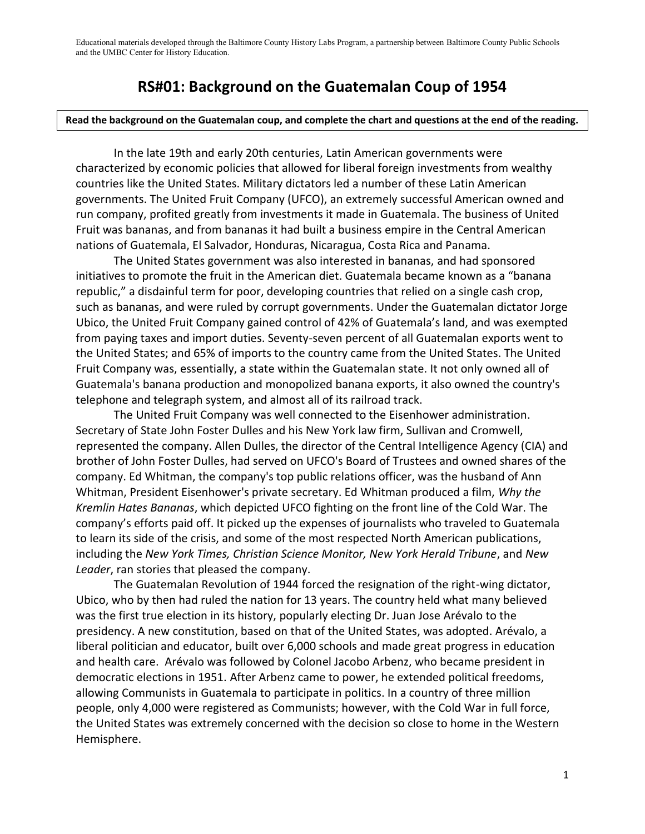Educational materials developed through the Baltimore County History Labs Program, a partnership between Baltimore County Public Schools and the UMBC Center for History Education.

## **RS#01: Background on the Guatemalan Coup of 1954**

## **Read the background on the Guatemalan coup, and complete the chart and questions at the end of the reading.**

In the late 19th and early 20th centuries, Latin American governments were characterized by economic policies that allowed for liberal foreign investments from wealthy countries like the United States. Military dictators led a number of these Latin American governments. The United Fruit Company (UFCO), an extremely successful American owned and run company, profited greatly from investments it made in Guatemala. The business of United Fruit was bananas, and from bananas it had built a business empire in the Central American nations of Guatemala, El Salvador, Honduras, Nicaragua, Costa Rica and Panama.

The United States government was also interested in bananas, and had sponsored initiatives to promote the fruit in the American diet. Guatemala became known as a "banana republic," a disdainful term for poor, developing countries that relied on a single cash crop, such as bananas, and were ruled by corrupt governments. Under the Guatemalan dictator Jorge Ubico, the United Fruit Company gained control of 42% of Guatemala's land, and was exempted from paying taxes and import duties. Seventy-seven percent of all Guatemalan exports went to the United States; and 65% of imports to the country came from the United States. The United Fruit Company was, essentially, a state within the Guatemalan state. It not only owned all of Guatemala's banana production and monopolized banana exports, it also owned the country's telephone and telegraph system, and almost all of its railroad track.

The United Fruit Company was well connected to the Eisenhower administration. Secretary of State John Foster Dulles and his New York law firm, Sullivan and Cromwell, represented the company. Allen Dulles, the director of the Central Intelligence Agency (CIA) and brother of John Foster Dulles, had served on UFCO's Board of Trustees and owned shares of the company. Ed Whitman, the company's top public relations officer, was the husband of Ann Whitman, President Eisenhower's private secretary. Ed Whitman produced a film, *Why the Kremlin Hates Bananas*, which depicted UFCO fighting on the front line of the Cold War. The company's efforts paid off. It picked up the expenses of journalists who traveled to Guatemala to learn its side of the crisis, and some of the most respected North American publications, including the *New York Times, Christian Science Monitor, New York Herald Tribune*, and *New Leader*, ran stories that pleased the company.

The Guatemalan Revolution of 1944 forced the resignation of the right-wing dictator, Ubico, who by then had ruled the nation for 13 years. The country held what many believed was the first true election in its history, popularly electing Dr. Juan Jose Arévalo to the presidency. A new constitution, based on that of the United States, was adopted. Arévalo, a liberal politician and educator, built over 6,000 schools and made great progress in education and health care. Arévalo was followed by Colonel Jacobo Arbenz, who became president in democratic elections in 1951. After Arbenz came to power, he extended political freedoms, allowing Communists in Guatemala to participate in politics. In a country of three million people, only 4,000 were registered as Communists; however, with the Cold War in full force, the United States was extremely concerned with the decision so close to home in the Western Hemisphere.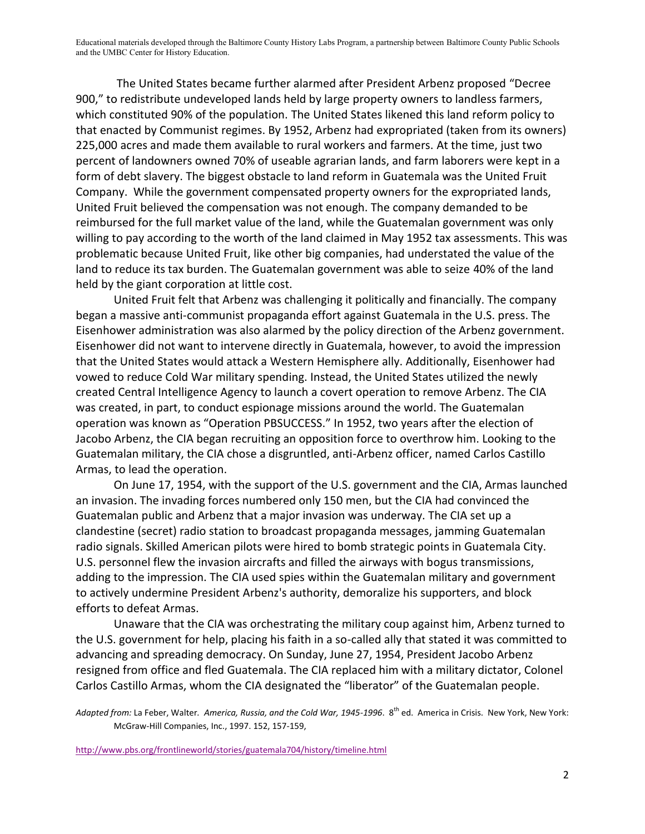Educational materials developed through the Baltimore County History Labs Program, a partnership between Baltimore County Public Schools and the UMBC Center for History Education.

The United States became further alarmed after President Arbenz proposed "Decree 900," to redistribute undeveloped lands held by large property owners to landless farmers, which constituted 90% of the population. The United States likened this land reform policy to that enacted by Communist regimes. By 1952, Arbenz had expropriated (taken from its owners) 225,000 acres and made them available to rural workers and farmers. At the time, just two percent of landowners owned 70% of useable agrarian lands, and farm laborers were kept in a form of debt slavery. The biggest obstacle to land reform in Guatemala was the United Fruit Company. While the government compensated property owners for the expropriated lands, United Fruit believed the compensation was not enough. The company demanded to be reimbursed for the full market value of the land, while the Guatemalan government was only willing to pay according to the worth of the land claimed in May 1952 tax assessments. This was problematic because United Fruit, like other big companies, had understated the value of the land to reduce its tax burden. The Guatemalan government was able to seize 40% of the land held by the giant corporation at little cost.

United Fruit felt that Arbenz was challenging it politically and financially. The company began a massive anti-communist propaganda effort against Guatemala in the U.S. press. The Eisenhower administration was also alarmed by the policy direction of the Arbenz government. Eisenhower did not want to intervene directly in Guatemala, however, to avoid the impression that the United States would attack a Western Hemisphere ally. Additionally, Eisenhower had vowed to reduce Cold War military spending. Instead, the United States utilized the newly created Central Intelligence Agency to launch a covert operation to remove Arbenz. The CIA was created, in part, to conduct espionage missions around the world. The Guatemalan operation was known as "Operation PBSUCCESS." In 1952, two years after the election of Jacobo Arbenz, the CIA began recruiting an opposition force to overthrow him. Looking to the Guatemalan military, the CIA chose a disgruntled, anti-Arbenz officer, named Carlos Castillo Armas, to lead the operation.

On June 17, 1954, with the support of the U.S. government and the CIA, Armas launched an invasion. The invading forces numbered only 150 men, but the CIA had convinced the Guatemalan public and Arbenz that a major invasion was underway. The CIA set up a clandestine (secret) radio station to broadcast propaganda messages, jamming Guatemalan radio signals. Skilled American pilots were hired to bomb strategic points in Guatemala City. U.S. personnel flew the invasion aircrafts and filled the airways with bogus transmissions, adding to the impression. The CIA used spies within the Guatemalan military and government to actively undermine President Arbenz's authority, demoralize his supporters, and block efforts to defeat Armas.

Unaware that the CIA was orchestrating the military coup against him, Arbenz turned to the U.S. government for help, placing his faith in a so-called ally that stated it was committed to advancing and spreading democracy. On Sunday, June 27, 1954, President Jacobo Arbenz resigned from office and fled Guatemala. The CIA replaced him with a military dictator, Colonel Carlos Castillo Armas, whom the CIA designated the "liberator" of the Guatemalan people.

Adapted from: La Feber, Walter. America, Russia, and the Cold War, 1945-1996. 8<sup>th</sup> ed. America in Crisis. New York, New York: McGraw-Hill Companies, Inc., 1997. 152, 157-159,

<http://www.pbs.org/frontlineworld/stories/guatemala704/history/timeline.html>